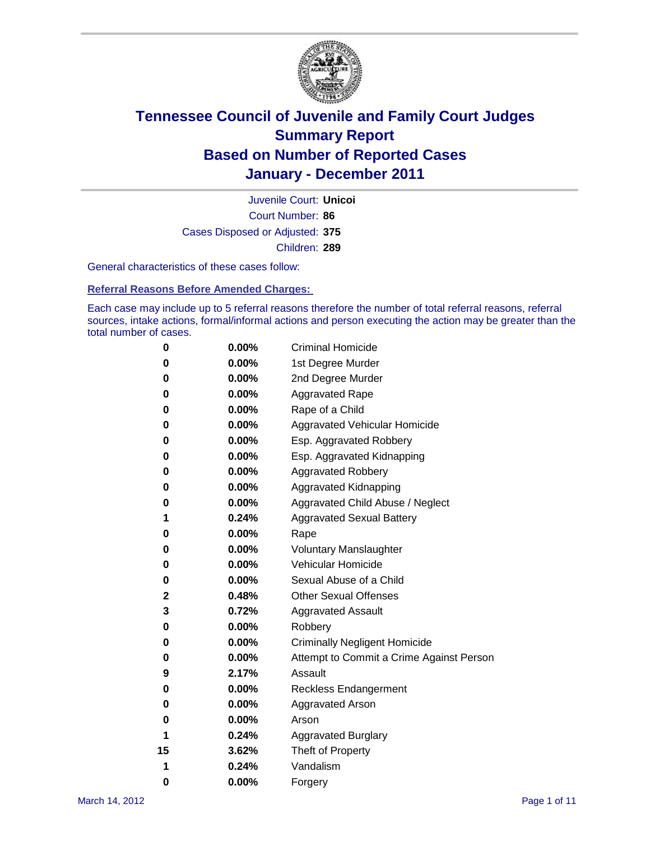

Court Number: **86** Juvenile Court: **Unicoi** Cases Disposed or Adjusted: **375** Children: **289**

General characteristics of these cases follow:

**Referral Reasons Before Amended Charges:** 

Each case may include up to 5 referral reasons therefore the number of total referral reasons, referral sources, intake actions, formal/informal actions and person executing the action may be greater than the total number of cases.

| 0  | $0.00\%$ | <b>Criminal Homicide</b>                 |  |  |
|----|----------|------------------------------------------|--|--|
| 0  | 0.00%    | 1st Degree Murder                        |  |  |
| 0  | 0.00%    | 2nd Degree Murder                        |  |  |
| 0  | 0.00%    | <b>Aggravated Rape</b>                   |  |  |
| 0  | 0.00%    | Rape of a Child                          |  |  |
| 0  | 0.00%    | Aggravated Vehicular Homicide            |  |  |
| 0  | 0.00%    | Esp. Aggravated Robbery                  |  |  |
| 0  | 0.00%    | Esp. Aggravated Kidnapping               |  |  |
| 0  | 0.00%    | <b>Aggravated Robbery</b>                |  |  |
| 0  | 0.00%    | Aggravated Kidnapping                    |  |  |
| 0  | 0.00%    | Aggravated Child Abuse / Neglect         |  |  |
| 1  | 0.24%    | <b>Aggravated Sexual Battery</b>         |  |  |
| 0  | 0.00%    | Rape                                     |  |  |
| 0  | $0.00\%$ | <b>Voluntary Manslaughter</b>            |  |  |
| 0  | 0.00%    | Vehicular Homicide                       |  |  |
| 0  | 0.00%    | Sexual Abuse of a Child                  |  |  |
| 2  | 0.48%    | <b>Other Sexual Offenses</b>             |  |  |
| 3  | 0.72%    | <b>Aggravated Assault</b>                |  |  |
| 0  | 0.00%    | Robbery                                  |  |  |
| 0  | 0.00%    | <b>Criminally Negligent Homicide</b>     |  |  |
| 0  | 0.00%    | Attempt to Commit a Crime Against Person |  |  |
| 9  | 2.17%    | Assault                                  |  |  |
| 0  | 0.00%    | <b>Reckless Endangerment</b>             |  |  |
| 0  | 0.00%    | <b>Aggravated Arson</b>                  |  |  |
| 0  | 0.00%    | Arson                                    |  |  |
| 1  | 0.24%    | <b>Aggravated Burglary</b>               |  |  |
| 15 | 3.62%    | Theft of Property                        |  |  |
| 1  | 0.24%    | Vandalism                                |  |  |
| 0  | 0.00%    | Forgery                                  |  |  |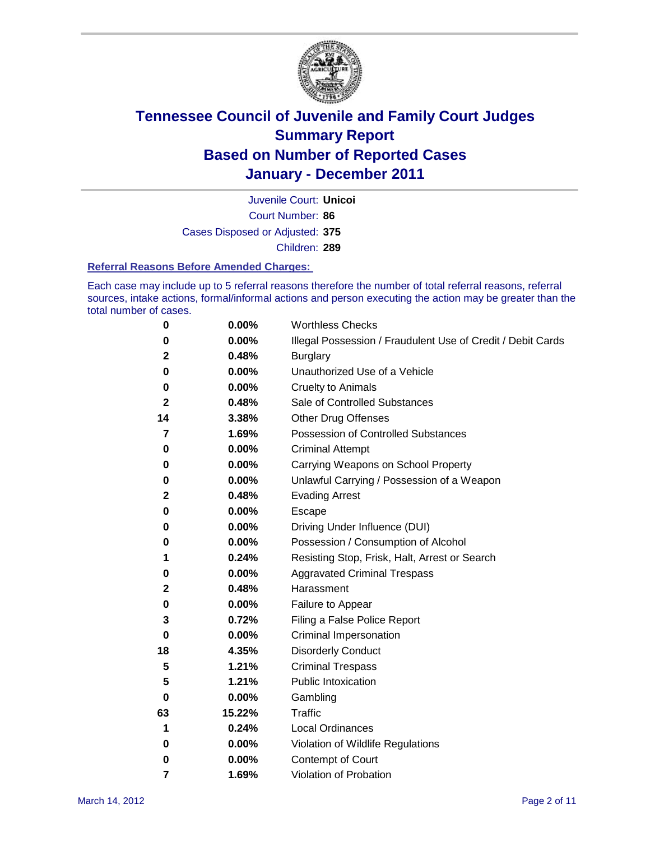

Court Number: **86** Juvenile Court: **Unicoi** Cases Disposed or Adjusted: **375** Children: **289**

#### **Referral Reasons Before Amended Charges:**

Each case may include up to 5 referral reasons therefore the number of total referral reasons, referral sources, intake actions, formal/informal actions and person executing the action may be greater than the total number of cases.

| 0  | 0.00%  | <b>Worthless Checks</b>                                     |
|----|--------|-------------------------------------------------------------|
| 0  | 0.00%  | Illegal Possession / Fraudulent Use of Credit / Debit Cards |
| 2  | 0.48%  | <b>Burglary</b>                                             |
| 0  | 0.00%  | Unauthorized Use of a Vehicle                               |
| 0  | 0.00%  | <b>Cruelty to Animals</b>                                   |
| 2  | 0.48%  | Sale of Controlled Substances                               |
| 14 | 3.38%  | <b>Other Drug Offenses</b>                                  |
| 7  | 1.69%  | Possession of Controlled Substances                         |
| 0  | 0.00%  | <b>Criminal Attempt</b>                                     |
| 0  | 0.00%  | Carrying Weapons on School Property                         |
| 0  | 0.00%  | Unlawful Carrying / Possession of a Weapon                  |
| 2  | 0.48%  | <b>Evading Arrest</b>                                       |
| 0  | 0.00%  | Escape                                                      |
| 0  | 0.00%  | Driving Under Influence (DUI)                               |
| 0  | 0.00%  | Possession / Consumption of Alcohol                         |
| 1  | 0.24%  | Resisting Stop, Frisk, Halt, Arrest or Search               |
| 0  | 0.00%  | <b>Aggravated Criminal Trespass</b>                         |
| 2  | 0.48%  | Harassment                                                  |
| 0  | 0.00%  | Failure to Appear                                           |
| 3  | 0.72%  | Filing a False Police Report                                |
| 0  | 0.00%  | Criminal Impersonation                                      |
| 18 | 4.35%  | <b>Disorderly Conduct</b>                                   |
| 5  | 1.21%  | <b>Criminal Trespass</b>                                    |
| 5  | 1.21%  | <b>Public Intoxication</b>                                  |
| 0  | 0.00%  | Gambling                                                    |
| 63 | 15.22% | Traffic                                                     |
| 1  | 0.24%  | <b>Local Ordinances</b>                                     |
| 0  | 0.00%  | Violation of Wildlife Regulations                           |
| 0  | 0.00%  | Contempt of Court                                           |
| 7  | 1.69%  | Violation of Probation                                      |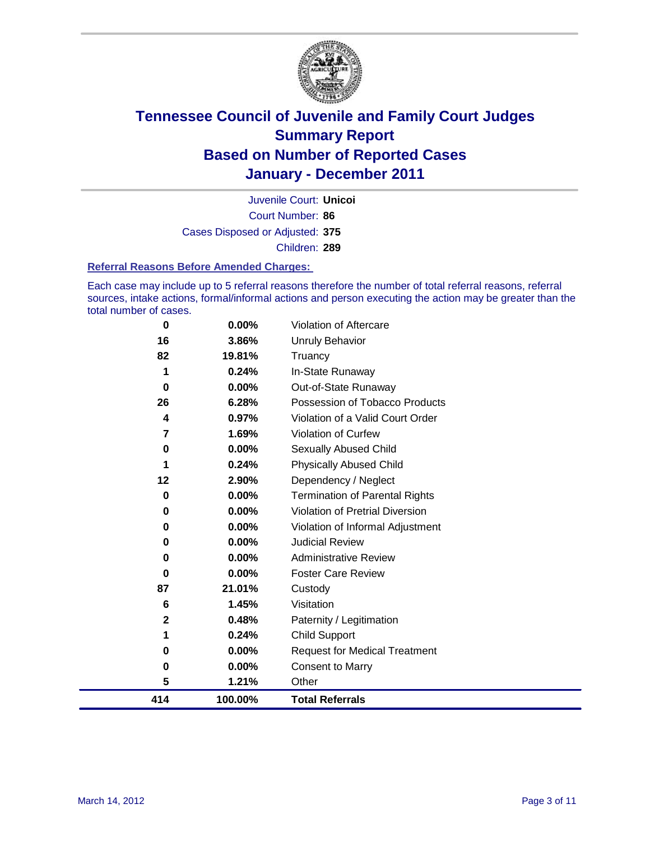

Court Number: **86** Juvenile Court: **Unicoi** Cases Disposed or Adjusted: **375** Children: **289**

#### **Referral Reasons Before Amended Charges:**

Each case may include up to 5 referral reasons therefore the number of total referral reasons, referral sources, intake actions, formal/informal actions and person executing the action may be greater than the total number of cases.

| 0            | 0.00%    | Violation of Aftercare                 |
|--------------|----------|----------------------------------------|
| 16           | 3.86%    | Unruly Behavior                        |
| 82           | 19.81%   | Truancy                                |
| 1            | 0.24%    | In-State Runaway                       |
| 0            | $0.00\%$ | Out-of-State Runaway                   |
| 26           | 6.28%    | Possession of Tobacco Products         |
| 4            | 0.97%    | Violation of a Valid Court Order       |
| 7            | 1.69%    | Violation of Curfew                    |
| 0            | $0.00\%$ | Sexually Abused Child                  |
| 1            | 0.24%    | <b>Physically Abused Child</b>         |
| 12           | 2.90%    | Dependency / Neglect                   |
| 0            | 0.00%    | <b>Termination of Parental Rights</b>  |
| 0            | 0.00%    | <b>Violation of Pretrial Diversion</b> |
| 0            | 0.00%    | Violation of Informal Adjustment       |
| 0            | $0.00\%$ | <b>Judicial Review</b>                 |
| 0            | $0.00\%$ | <b>Administrative Review</b>           |
| 0            | 0.00%    | <b>Foster Care Review</b>              |
| 87           | 21.01%   | Custody                                |
| 6            | 1.45%    | Visitation                             |
| $\mathbf{2}$ | 0.48%    | Paternity / Legitimation               |
| 1            | 0.24%    | <b>Child Support</b>                   |
| 0            | 0.00%    | <b>Request for Medical Treatment</b>   |
| 0            | 0.00%    | <b>Consent to Marry</b>                |
| 5            | 1.21%    | Other                                  |
| 414          | 100.00%  | <b>Total Referrals</b>                 |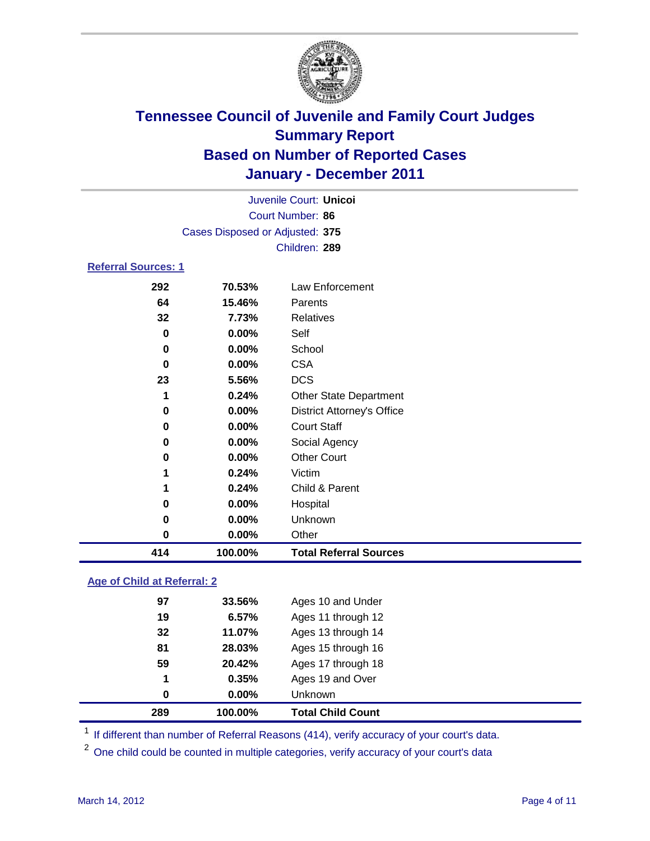

|                            |                                 | Juvenile Court: Unicoi            |  |  |
|----------------------------|---------------------------------|-----------------------------------|--|--|
| Court Number: 86           |                                 |                                   |  |  |
|                            | Cases Disposed or Adjusted: 375 |                                   |  |  |
|                            |                                 | Children: 289                     |  |  |
| <b>Referral Sources: 1</b> |                                 |                                   |  |  |
| 292                        | 70.53%                          | Law Enforcement                   |  |  |
| 64                         | 15.46%                          | Parents                           |  |  |
| 32                         | 7.73%                           | Relatives                         |  |  |
| 0                          | 0.00%                           | Self                              |  |  |
| 0                          | 0.00%                           | School                            |  |  |
| 0                          | 0.00%                           | <b>CSA</b>                        |  |  |
| 23                         | 5.56%                           | <b>DCS</b>                        |  |  |
| 1                          | 0.24%                           | <b>Other State Department</b>     |  |  |
| 0                          | 0.00%                           | <b>District Attorney's Office</b> |  |  |
| 0                          | 0.00%                           | <b>Court Staff</b>                |  |  |
| 0                          | 0.00%                           | Social Agency                     |  |  |
| 0                          | 0.00%                           | <b>Other Court</b>                |  |  |
| 1                          | 0.24%                           | Victim                            |  |  |
| 1                          | 0.24%                           | Child & Parent                    |  |  |
| 0                          | 0.00%                           | Hospital                          |  |  |
| 0                          | 0.00%                           | Unknown                           |  |  |
| 0                          | 0.00%                           | Other                             |  |  |
| 414                        | 100.00%                         | <b>Total Referral Sources</b>     |  |  |

### **Age of Child at Referral: 2**

| 289 | 100.00%  | <b>Total Child Count</b> |
|-----|----------|--------------------------|
| 0   | $0.00\%$ | <b>Unknown</b>           |
| 1   | 0.35%    | Ages 19 and Over         |
| 59  | 20.42%   | Ages 17 through 18       |
| 81  | 28.03%   | Ages 15 through 16       |
| 32  | 11.07%   | Ages 13 through 14       |
| 19  | 6.57%    | Ages 11 through 12       |
| 97  | 33.56%   | Ages 10 and Under        |
|     |          |                          |

<sup>1</sup> If different than number of Referral Reasons (414), verify accuracy of your court's data.

<sup>2</sup> One child could be counted in multiple categories, verify accuracy of your court's data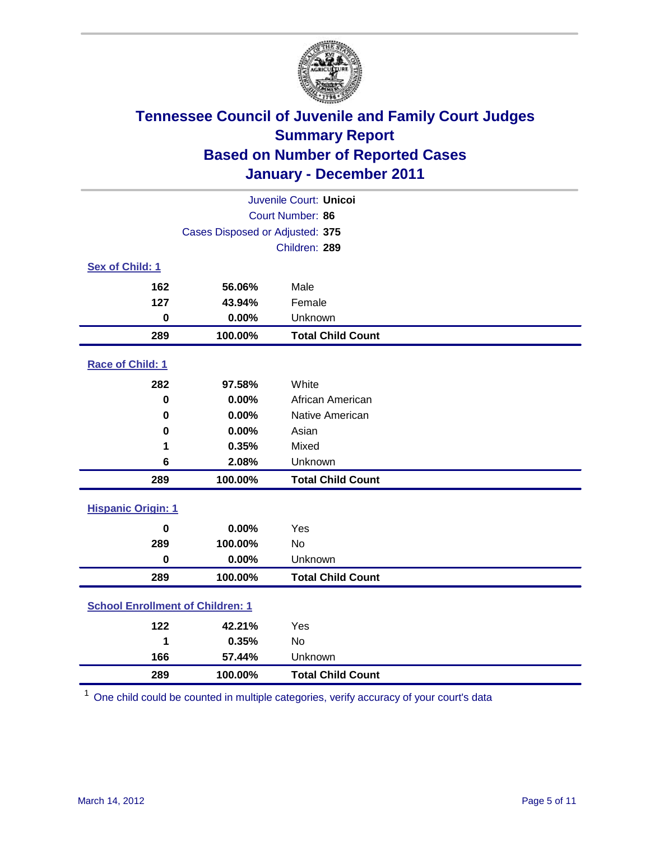

| Juvenile Court: Unicoi                  |                                 |                          |  |  |  |
|-----------------------------------------|---------------------------------|--------------------------|--|--|--|
| Court Number: 86                        |                                 |                          |  |  |  |
|                                         | Cases Disposed or Adjusted: 375 |                          |  |  |  |
|                                         |                                 | Children: 289            |  |  |  |
| Sex of Child: 1                         |                                 |                          |  |  |  |
| 162                                     | 56.06%                          | Male                     |  |  |  |
| 127                                     | 43.94%                          | Female                   |  |  |  |
| $\pmb{0}$                               | 0.00%                           | Unknown                  |  |  |  |
| 289                                     | 100.00%                         | <b>Total Child Count</b> |  |  |  |
| Race of Child: 1                        |                                 |                          |  |  |  |
| 282                                     | 97.58%                          | White                    |  |  |  |
| $\mathbf 0$                             | 0.00%                           | African American         |  |  |  |
| 0                                       | 0.00%                           | Native American          |  |  |  |
| 0                                       | 0.00%                           | Asian                    |  |  |  |
| 1                                       | 0.35%                           | Mixed                    |  |  |  |
| 6                                       | 2.08%                           | Unknown                  |  |  |  |
| 289                                     | 100.00%                         | <b>Total Child Count</b> |  |  |  |
| <b>Hispanic Origin: 1</b>               |                                 |                          |  |  |  |
| $\mathbf 0$                             | 0.00%                           | Yes                      |  |  |  |
| 289                                     | 100.00%                         | <b>No</b>                |  |  |  |
| $\mathbf 0$                             | 0.00%                           | Unknown                  |  |  |  |
| 289                                     | 100.00%                         | <b>Total Child Count</b> |  |  |  |
| <b>School Enrollment of Children: 1</b> |                                 |                          |  |  |  |
| 122                                     | 42.21%                          | Yes                      |  |  |  |
| 1                                       | 0.35%                           | No                       |  |  |  |
| 166                                     | 57.44%                          | Unknown                  |  |  |  |
| 289                                     | 100.00%                         | <b>Total Child Count</b> |  |  |  |

One child could be counted in multiple categories, verify accuracy of your court's data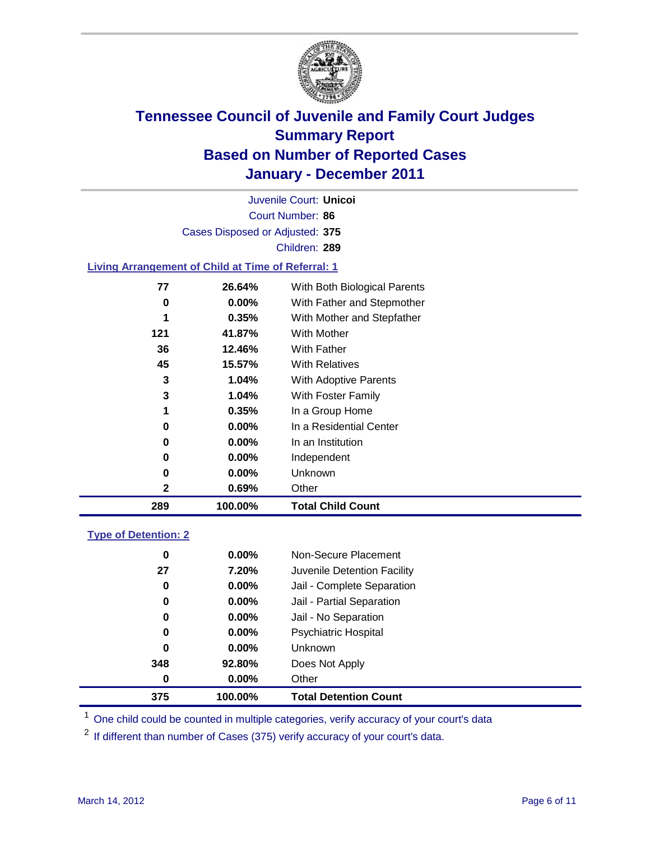

Court Number: **86** Juvenile Court: **Unicoi** Cases Disposed or Adjusted: **375** Children: **289**

### **Living Arrangement of Child at Time of Referral: 1**

| 289 | 100.00%  | <b>Total Child Count</b>     |
|-----|----------|------------------------------|
| 2   | 0.69%    | Other                        |
| 0   | 0.00%    | <b>Unknown</b>               |
| 0   | $0.00\%$ | Independent                  |
| 0   | $0.00\%$ | In an Institution            |
| 0   | $0.00\%$ | In a Residential Center      |
| 1   | 0.35%    | In a Group Home              |
| 3   | 1.04%    | With Foster Family           |
| 3   | 1.04%    | With Adoptive Parents        |
| 45  | 15.57%   | <b>With Relatives</b>        |
| 36  | 12.46%   | <b>With Father</b>           |
| 121 | 41.87%   | With Mother                  |
| 1   | 0.35%    | With Mother and Stepfather   |
| 0   | $0.00\%$ | With Father and Stepmother   |
| 77  | 26.64%   | With Both Biological Parents |
|     |          |                              |

#### **Type of Detention: 2**

| 375      | 100.00%  | <b>Total Detention Count</b> |  |
|----------|----------|------------------------------|--|
| $\bf{0}$ | 0.00%    | Other                        |  |
| 348      | 92.80%   | Does Not Apply               |  |
| 0        | $0.00\%$ | Unknown                      |  |
| 0        | $0.00\%$ | Psychiatric Hospital         |  |
| 0        | 0.00%    | Jail - No Separation         |  |
| 0        | $0.00\%$ | Jail - Partial Separation    |  |
| 0        | $0.00\%$ | Jail - Complete Separation   |  |
| 27       | 7.20%    | Juvenile Detention Facility  |  |
| 0        | $0.00\%$ | Non-Secure Placement         |  |
|          |          |                              |  |

<sup>1</sup> One child could be counted in multiple categories, verify accuracy of your court's data

<sup>2</sup> If different than number of Cases (375) verify accuracy of your court's data.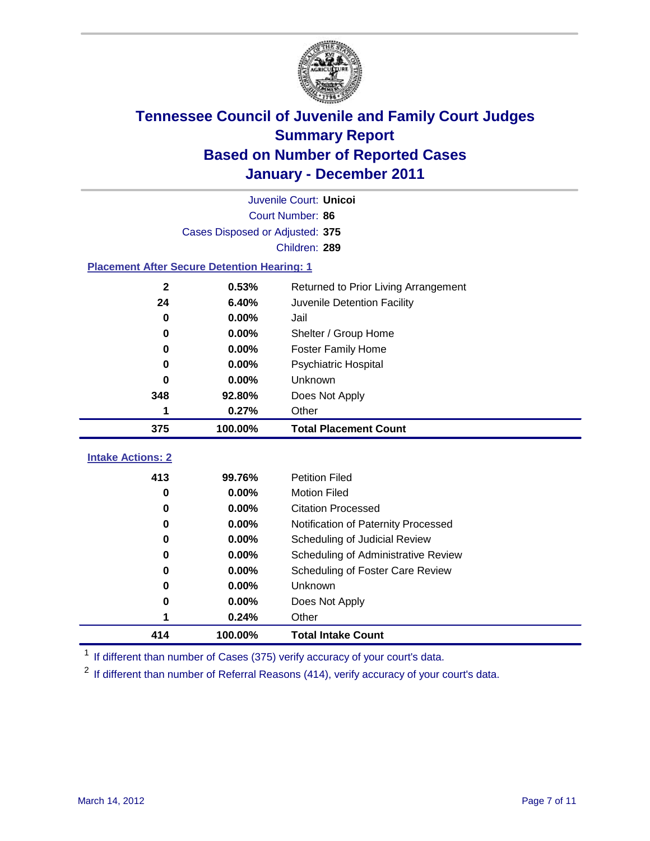

|                                                    | Juvenile Court: Unicoi          |                                      |  |  |  |
|----------------------------------------------------|---------------------------------|--------------------------------------|--|--|--|
|                                                    | Court Number: 86                |                                      |  |  |  |
|                                                    | Cases Disposed or Adjusted: 375 |                                      |  |  |  |
|                                                    |                                 | Children: 289                        |  |  |  |
| <b>Placement After Secure Detention Hearing: 1</b> |                                 |                                      |  |  |  |
| $\mathbf{2}$                                       | 0.53%                           | Returned to Prior Living Arrangement |  |  |  |
| 24                                                 | 6.40%                           | Juvenile Detention Facility          |  |  |  |
| $\bf{0}$                                           | 0.00%                           | Jail                                 |  |  |  |
| 0                                                  | 0.00%                           | Shelter / Group Home                 |  |  |  |
| 0                                                  | 0.00%                           | Foster Family Home                   |  |  |  |
| 0                                                  | 0.00%                           | Psychiatric Hospital                 |  |  |  |
| 0                                                  | 0.00%                           | Unknown                              |  |  |  |
| 348                                                | 92.80%                          | Does Not Apply                       |  |  |  |
| 1                                                  | 0.27%                           | Other                                |  |  |  |
| 375                                                | 100.00%                         | <b>Total Placement Count</b>         |  |  |  |
| <b>Intake Actions: 2</b>                           |                                 |                                      |  |  |  |
| 413                                                | 99.76%                          | <b>Petition Filed</b>                |  |  |  |
| 0                                                  | 0.00%                           | <b>Motion Filed</b>                  |  |  |  |
| 0                                                  | 0.00%                           | <b>Citation Processed</b>            |  |  |  |
| 0                                                  | 0.00%                           | Notification of Paternity Processed  |  |  |  |
| $\bf{0}$                                           | 0.00%                           | Scheduling of Judicial Review        |  |  |  |
| 0                                                  | 0.00%                           | Scheduling of Administrative Review  |  |  |  |
| 0                                                  | 0.00%                           | Scheduling of Foster Care Review     |  |  |  |
| 0                                                  | 0.00%                           | Unknown                              |  |  |  |
| 0                                                  | 0.00%                           | Does Not Apply                       |  |  |  |
| 1                                                  | 0.24%                           | Other                                |  |  |  |
| 414                                                | 100.00%                         | <b>Total Intake Count</b>            |  |  |  |

<sup>1</sup> If different than number of Cases (375) verify accuracy of your court's data.

<sup>2</sup> If different than number of Referral Reasons (414), verify accuracy of your court's data.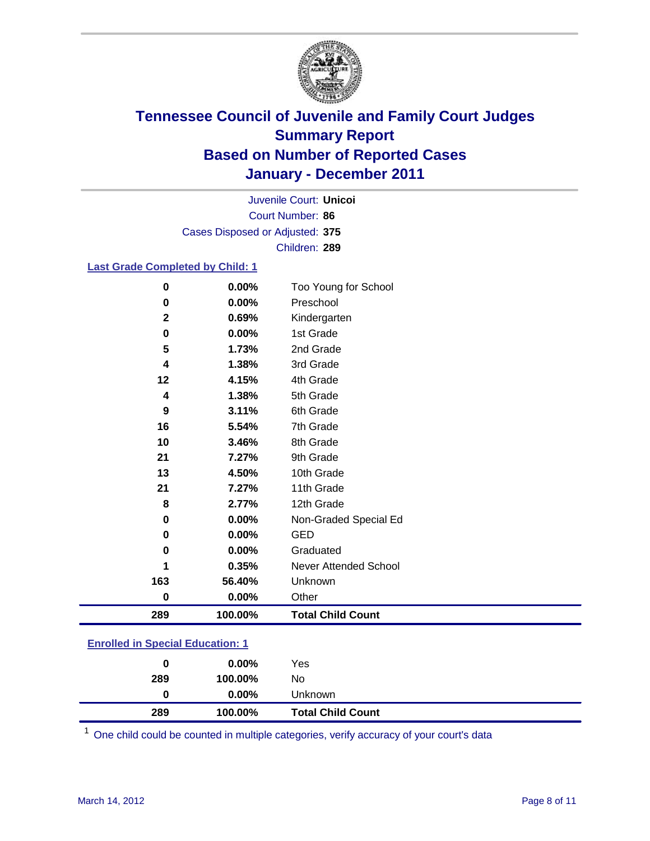

Court Number: **86** Juvenile Court: **Unicoi** Cases Disposed or Adjusted: **375** Children: **289**

### **Last Grade Completed by Child: 1**

|     | 0.00%<br>0            | Too Young for School     |
|-----|-----------------------|--------------------------|
|     | 0.00%<br>$\bf{0}$     | Preschool                |
|     | $\mathbf{2}$<br>0.69% | Kindergarten             |
|     | 0.00%<br>0            | 1st Grade                |
|     | 5<br>1.73%            | 2nd Grade                |
|     | 1.38%<br>4            | 3rd Grade                |
|     | 12<br>4.15%           | 4th Grade                |
|     | 1.38%<br>4            | 5th Grade                |
|     | 9<br>3.11%            | 6th Grade                |
|     | 16<br>5.54%           | 7th Grade                |
|     | 10<br>3.46%           | 8th Grade                |
| 21  | 7.27%                 | 9th Grade                |
|     | 13<br>4.50%           | 10th Grade               |
| 21  | 7.27%                 | 11th Grade               |
|     | 2.77%<br>8            | 12th Grade               |
|     | 0.00%<br>0            | Non-Graded Special Ed    |
|     | 0.00%<br>0            | <b>GED</b>               |
|     | 0.00%<br>0            | Graduated                |
|     | 0.35%<br>1            | Never Attended School    |
| 163 | 56.40%                | Unknown                  |
|     | 0.00%<br>$\pmb{0}$    | Other                    |
| 289 | 100.00%               | <b>Total Child Count</b> |

### **Enrolled in Special Education: 1**

| 0   | $0.00\%$ | Yes                      |
|-----|----------|--------------------------|
| 289 | 100.00%  | No                       |
| 0   | $0.00\%$ | Unknown                  |
| 289 | 100.00%  | <b>Total Child Count</b> |

One child could be counted in multiple categories, verify accuracy of your court's data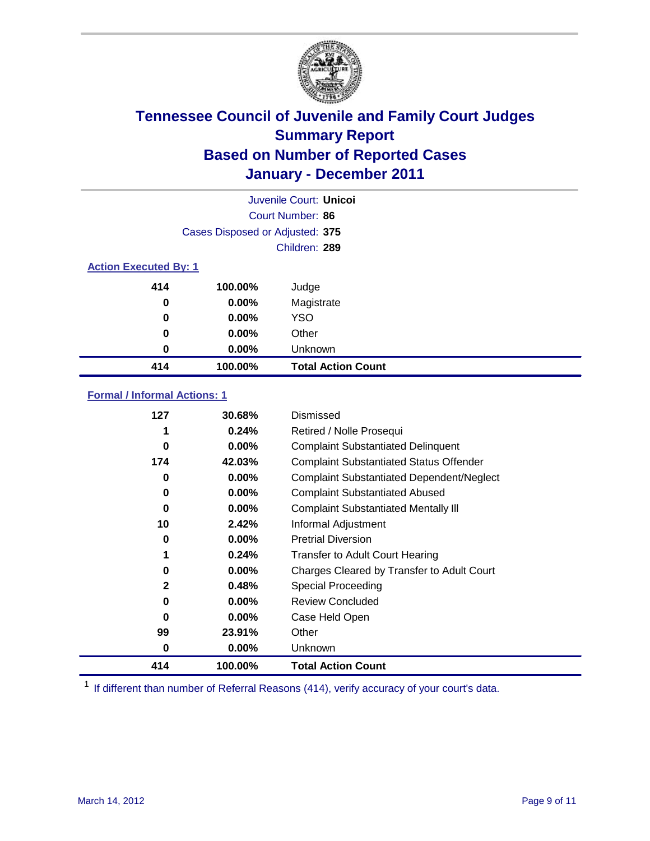

|                              | Juvenile Court: Unicol          |                           |  |  |  |
|------------------------------|---------------------------------|---------------------------|--|--|--|
|                              | Court Number: 86                |                           |  |  |  |
|                              | Cases Disposed or Adjusted: 375 |                           |  |  |  |
|                              |                                 | Children: 289             |  |  |  |
| <b>Action Executed By: 1</b> |                                 |                           |  |  |  |
| 414                          | 100.00%                         | Judge                     |  |  |  |
| 0                            | $0.00\%$                        | Magistrate                |  |  |  |
| 0                            | $0.00\%$                        | <b>YSO</b>                |  |  |  |
| 0                            | 0.00%                           | Other                     |  |  |  |
| 0                            | 0.00%                           | Unknown                   |  |  |  |
| 414                          | 100.00%                         | <b>Total Action Count</b> |  |  |  |

### **Formal / Informal Actions: 1**

| 127 | 30.68%   | Dismissed                                        |
|-----|----------|--------------------------------------------------|
|     | 0.24%    | Retired / Nolle Prosequi                         |
| 0   | $0.00\%$ | <b>Complaint Substantiated Delinquent</b>        |
| 174 | 42.03%   | <b>Complaint Substantiated Status Offender</b>   |
| 0   | $0.00\%$ | <b>Complaint Substantiated Dependent/Neglect</b> |
| 0   | 0.00%    | <b>Complaint Substantiated Abused</b>            |
| 0   | $0.00\%$ | <b>Complaint Substantiated Mentally III</b>      |
| 10  | 2.42%    | Informal Adjustment                              |
| 0   | $0.00\%$ | <b>Pretrial Diversion</b>                        |
| 1   | 0.24%    | <b>Transfer to Adult Court Hearing</b>           |
| 0   | $0.00\%$ | Charges Cleared by Transfer to Adult Court       |
| 2   | 0.48%    | Special Proceeding                               |
| 0   | $0.00\%$ | <b>Review Concluded</b>                          |
| 0   | $0.00\%$ | Case Held Open                                   |
| 99  | 23.91%   | Other                                            |
| 0   | $0.00\%$ | Unknown                                          |
| 414 | 100.00%  | <b>Total Action Count</b>                        |

<sup>1</sup> If different than number of Referral Reasons (414), verify accuracy of your court's data.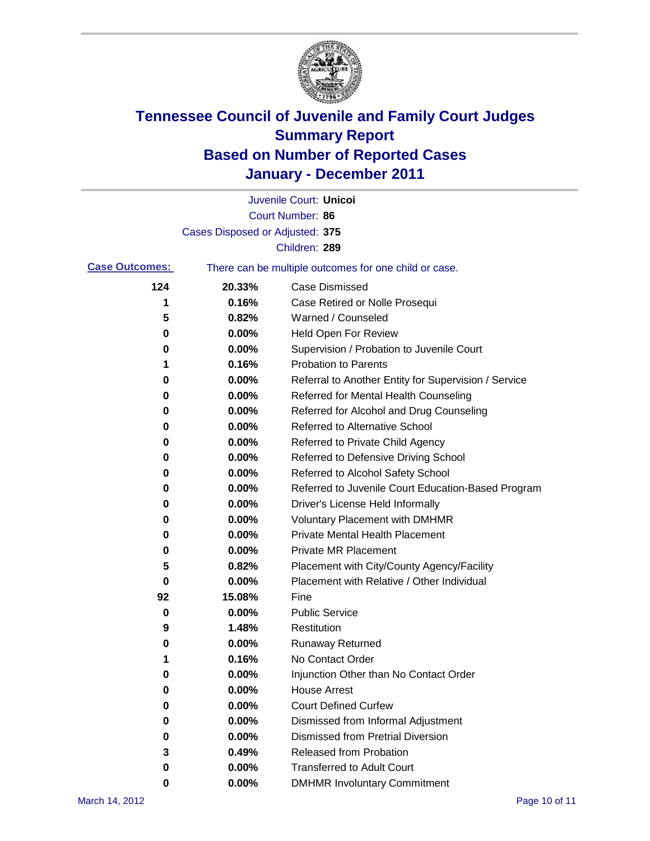

|                       |                                 | Juvenile Court: Unicol                                |
|-----------------------|---------------------------------|-------------------------------------------------------|
|                       |                                 | Court Number: 86                                      |
|                       | Cases Disposed or Adjusted: 375 |                                                       |
|                       |                                 | Children: 289                                         |
| <b>Case Outcomes:</b> |                                 | There can be multiple outcomes for one child or case. |
| 124                   | 20.33%                          | <b>Case Dismissed</b>                                 |
| 1                     | 0.16%                           | Case Retired or Nolle Prosequi                        |
| 5                     | 0.82%                           | Warned / Counseled                                    |
| 0                     | 0.00%                           | Held Open For Review                                  |
| 0                     | 0.00%                           | Supervision / Probation to Juvenile Court             |
| 1                     | 0.16%                           | <b>Probation to Parents</b>                           |
| 0                     | 0.00%                           | Referral to Another Entity for Supervision / Service  |
| 0                     | 0.00%                           | Referred for Mental Health Counseling                 |
| 0                     | 0.00%                           | Referred for Alcohol and Drug Counseling              |
| 0                     | 0.00%                           | Referred to Alternative School                        |
| 0                     | 0.00%                           | Referred to Private Child Agency                      |
| 0                     | 0.00%                           | Referred to Defensive Driving School                  |
| 0                     | 0.00%                           | Referred to Alcohol Safety School                     |
| 0                     | 0.00%                           | Referred to Juvenile Court Education-Based Program    |
| 0                     | 0.00%                           | Driver's License Held Informally                      |
| 0                     | 0.00%                           | <b>Voluntary Placement with DMHMR</b>                 |
| 0                     | 0.00%                           | <b>Private Mental Health Placement</b>                |
| 0                     | 0.00%                           | <b>Private MR Placement</b>                           |
| 5                     | 0.82%                           | Placement with City/County Agency/Facility            |
| 0                     | 0.00%                           | Placement with Relative / Other Individual            |
| 92                    | 15.08%                          | Fine                                                  |
| 0                     | 0.00%                           | <b>Public Service</b>                                 |
| 9                     | 1.48%                           | Restitution                                           |
| 0                     | 0.00%                           | <b>Runaway Returned</b>                               |
| 1                     | 0.16%                           | No Contact Order                                      |
| 0                     | 0.00%                           | Injunction Other than No Contact Order                |
| 0                     | 0.00%                           | <b>House Arrest</b>                                   |
| 0                     | 0.00%                           | <b>Court Defined Curfew</b>                           |
| 0                     | 0.00%                           | Dismissed from Informal Adjustment                    |
| 0                     | 0.00%                           | <b>Dismissed from Pretrial Diversion</b>              |
| 3                     | 0.49%                           | Released from Probation                               |
| 0                     | 0.00%                           | <b>Transferred to Adult Court</b>                     |
| 0                     | 0.00%                           | <b>DMHMR Involuntary Commitment</b>                   |